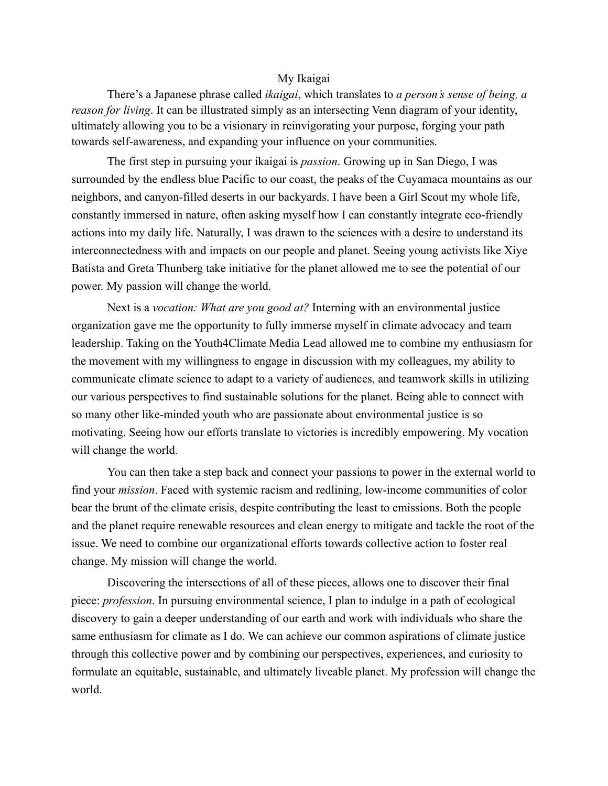## My Ikaigai

There's a Japanese phrase called *ikaigai*, which translates to *a person's sense of being, a reason for living*. It can be illustrated simply as an intersecting Venn diagram of your identity, ultimately allowing you to be a visionary in reinvigorating your purpose, forging your path towards self-awareness, and expanding your influence on your communities.

The first step in pursuing your ikaigai is *passion*. Growing up in San Diego, I was surrounded by the endless blue Pacific to our coast, the peaks of the Cuyamaca mountains as our neighbors, and canyon-filled deserts in our backyards. I have been a Girl Scout my whole life, constantly immersed in nature, often asking myself how I can constantly integrate eco-friendly actions into my daily life. Naturally, I was drawn to the sciences with a desire to understand its interconnectedness with and impacts on our people and planet. Seeing young activists like Xiye Batista and Greta Thunberg take initiative for the planet allowed me to see the potential of our power. My passion will change the world.

Next is a *vocation: What are you good at?* Interning with an environmental justice organization gave me the opportunity to fully immerse myself in climate advocacy and team leadership. Taking on the Youth4Climate Media Lead allowed me to combine my enthusiasm for the movement with my willingness to engage in discussion with my colleagues, my ability to communicate climate science to adapt to a variety of audiences, and teamwork skills in utilizing our various perspectives to find sustainable solutions for the planet. Being able to connect with so many other like-minded youth who are passionate about environmental justice is so motivating. Seeing how our efforts translate to victories is incredibly empowering. My vocation will change the world.

You can then take a step back and connect your passions to power in the external world to find your *mission*. Faced with systemic racism and redlining, low-income communities of color bear the brunt of the climate crisis, despite contributing the least to emissions. Both the people and the planet require renewable resources and clean energy to mitigate and tackle the root of the issue. We need to combine our organizational efforts towards collective action to foster real change. My mission will change the world.

Discovering the intersections of all of these pieces, allows one to discover their final piece: *profession*. In pursuing environmental science, I plan to indulge in a path of ecological discovery to gain a deeper understanding of our earth and work with individuals who share the same enthusiasm for climate as I do. We can achieve our common aspirations of climate justice through this collective power and by combining our perspectives, experiences, and curiosity to formulate an equitable, sustainable, and ultimately liveable planet. My profession will change the world.